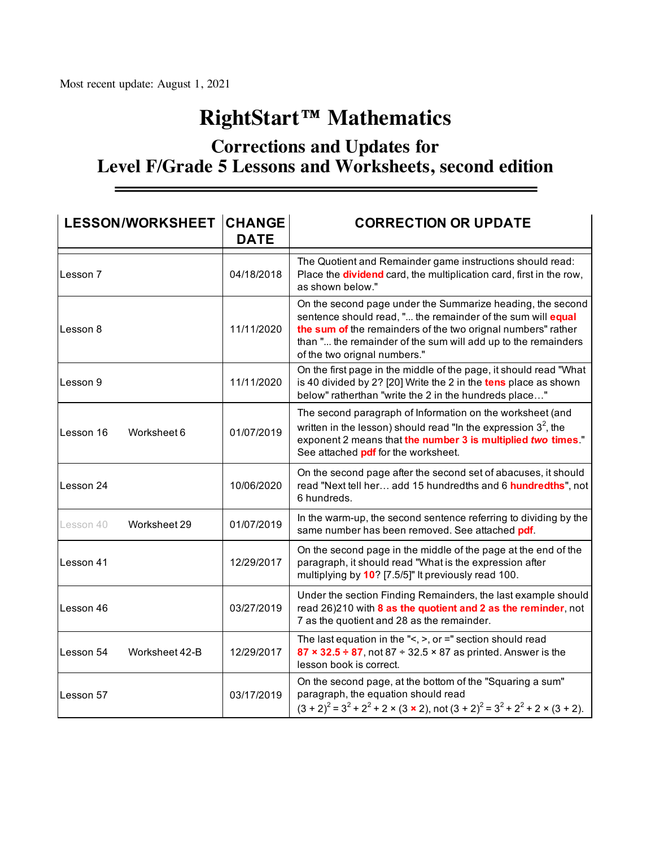## **RightStart™ Mathematics**

## **Corrections and Updates for Level F/Grade 5 Lessons and Worksheets, second edition**

| <b>LESSON/WORKSHEET CHANGE</b> | <b>DATE</b> | <b>CORRECTION OR UPDATE</b>                                                                                                                                                                                                                                                                |
|--------------------------------|-------------|--------------------------------------------------------------------------------------------------------------------------------------------------------------------------------------------------------------------------------------------------------------------------------------------|
| Lesson 7                       | 04/18/2018  | The Quotient and Remainder game instructions should read:<br>Place the <b>dividend</b> card, the multiplication card, first in the row,<br>as shown below."                                                                                                                                |
| Lesson 8                       | 11/11/2020  | On the second page under the Summarize heading, the second<br>sentence should read, " the remainder of the sum will equal<br>the sum of the remainders of the two orignal numbers" rather<br>than " the remainder of the sum will add up to the remainders<br>of the two orignal numbers." |
| lLesson 9                      | 11/11/2020  | On the first page in the middle of the page, it should read "What<br>is 40 divided by 2? [20] Write the 2 in the tens place as shown<br>below" ratherthan "write the 2 in the hundreds place"                                                                                              |
| Worksheet 6<br>Lesson 16       | 01/07/2019  | The second paragraph of Information on the worksheet (and<br>written in the lesson) should read "In the expression $3^2$ , the<br>exponent 2 means that the number 3 is multiplied two times"<br>See attached pdf for the worksheet.                                                       |
| Lesson 24                      | 10/06/2020  | On the second page after the second set of abacuses, it should<br>read "Next tell her add 15 hundredths and 6 hundredths", not<br>6 hundreds.                                                                                                                                              |
| Worksheet 29<br>Lesson 40      | 01/07/2019  | In the warm-up, the second sentence referring to dividing by the<br>same number has been removed. See attached pdf.                                                                                                                                                                        |
| Lesson 41                      | 12/29/2017  | On the second page in the middle of the page at the end of the<br>paragraph, it should read "What is the expression after<br>multiplying by 10? [7.5/5]" It previously read 100.                                                                                                           |
| lLesson 46                     | 03/27/2019  | Under the section Finding Remainders, the last example should<br>read 26)210 with 8 as the quotient and 2 as the reminder, not<br>7 as the quotient and 28 as the remainder.                                                                                                               |
| Lesson 54<br>Worksheet 42-B    | 12/29/2017  | The last equation in the "<, >, or $=$ " section should read<br>87 $\times$ 32.5 ÷ 87, not 87 ÷ 32.5 $\times$ 87 as printed. Answer is the<br>lesson book is correct.                                                                                                                      |
| Lesson 57                      | 03/17/2019  | On the second page, at the bottom of the "Squaring a sum"<br>paragraph, the equation should read<br>$(3 + 2)^2 = 3^2 + 2^2 + 2 \times (3 \times 2)$ , not $(3 + 2)^2 = 3^2 + 2^2 + 2 \times (3 + 2)$ .                                                                                     |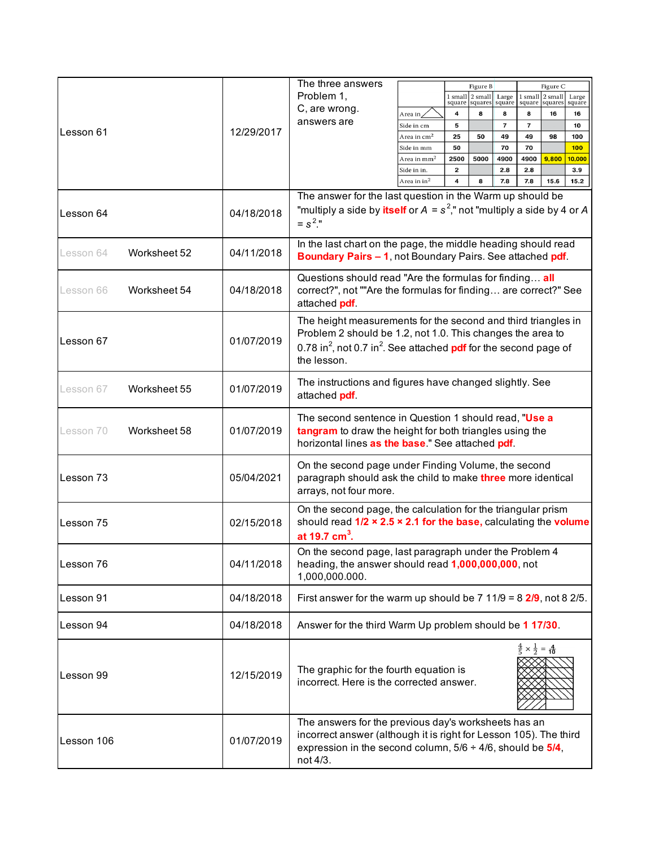|            |              |            | The three answers                                                                                                                                                                                                                             |                                  |                         |                                       |                          |                                                 |                     |            |
|------------|--------------|------------|-----------------------------------------------------------------------------------------------------------------------------------------------------------------------------------------------------------------------------------------------|----------------------------------|-------------------------|---------------------------------------|--------------------------|-------------------------------------------------|---------------------|------------|
|            |              |            | Problem 1,                                                                                                                                                                                                                                    |                                  |                         | Figure B<br>$1 \text{ small}$ 2 small | Large                    | 1 small                                         | Figure C<br>2 small | Large      |
|            |              |            | C, are wrong.                                                                                                                                                                                                                                 |                                  | square                  | squares                               | square                   | square                                          | squares             | square     |
|            |              |            | answers are                                                                                                                                                                                                                                   | Area in                          | 4                       | 8                                     | 8                        | 8                                               | 16                  | 16         |
| Lesson 61  |              | 12/29/2017 |                                                                                                                                                                                                                                               | Side in cm                       | 5                       |                                       | $\overline{\phantom{a}}$ | $\overline{7}$                                  |                     | 10         |
|            |              |            |                                                                                                                                                                                                                                               | Area in $\rm cm^2$<br>Side in mm | 25<br>50                | 50                                    | 49<br>70                 | 49<br>70                                        | 98                  | 100<br>100 |
|            |              |            |                                                                                                                                                                                                                                               | Area in $\mathrm{mm}^2$          | 2500                    | 5000                                  | 4900                     | 4900                                            | 9,800               | 10,000     |
|            |              |            |                                                                                                                                                                                                                                               | Side in in.                      | $\overline{\mathbf{2}}$ |                                       | 2.8                      | 2.8                                             |                     | 3.9        |
|            |              |            |                                                                                                                                                                                                                                               | Area in $in^2$                   | 4                       | 8                                     | 7.8                      | 7.8                                             | 15.6                | 15.2       |
| Lesson 64  |              | 04/18/2018 | The answer for the last question in the Warm up should be<br>"multiply a side by itself or $A = s^2$ ," not "multiply a side by 4 or A<br>$= s^2$ ."                                                                                          |                                  |                         |                                       |                          |                                                 |                     |            |
| Lesson 64  | Worksheet 52 | 04/11/2018 | In the last chart on the page, the middle heading should read<br>Boundary Pairs - 1, not Boundary Pairs. See attached pdf.                                                                                                                    |                                  |                         |                                       |                          |                                                 |                     |            |
| Lesson 66  | Worksheet 54 | 04/18/2018 | Questions should read "Are the formulas for finding all<br>correct?", not ""Are the formulas for finding are correct?" See<br>attached pdf.                                                                                                   |                                  |                         |                                       |                          |                                                 |                     |            |
| Lesson 67  |              | 01/07/2019 | The height measurements for the second and third triangles in<br>Problem 2 should be 1.2, not 1.0. This changes the area to<br>0.78 in <sup>2</sup> , not 0.7 in <sup>2</sup> . See attached <b>pdf</b> for the second page of<br>the lesson. |                                  |                         |                                       |                          |                                                 |                     |            |
| Lesson 67  | Worksheet 55 | 01/07/2019 | The instructions and figures have changed slightly. See<br>attached pdf.                                                                                                                                                                      |                                  |                         |                                       |                          |                                                 |                     |            |
| Lesson 70  | Worksheet 58 | 01/07/2019 | The second sentence in Question 1 should read, "Use a<br>tangram to draw the height for both triangles using the<br>horizontal lines as the base." See attached pdf.                                                                          |                                  |                         |                                       |                          |                                                 |                     |            |
| lLesson 73 |              | 05/04/2021 | On the second page under Finding Volume, the second<br>paragraph should ask the child to make three more identical<br>arrays, not four more.                                                                                                  |                                  |                         |                                       |                          |                                                 |                     |            |
| Lesson 75  |              | 02/15/2018 | On the second page, the calculation for the triangular prism<br>should read $1/2 \times 2.5 \times 2.1$ for the base, calculating the volume<br>at 19.7 cm <sup>3</sup> .                                                                     |                                  |                         |                                       |                          |                                                 |                     |            |
| Lesson 76  |              | 04/11/2018 | On the second page, last paragraph under the Problem 4<br>heading, the answer should read 1,000,000,000, not<br>1,000,000.000.                                                                                                                |                                  |                         |                                       |                          |                                                 |                     |            |
| Lesson 91  |              | 04/18/2018 | First answer for the warm up should be $7 \frac{11}{9} = 8 \frac{2}{9}$ , not 8 2/5.                                                                                                                                                          |                                  |                         |                                       |                          |                                                 |                     |            |
| Lesson 94  |              | 04/18/2018 | Answer for the third Warm Up problem should be 1 17/30.                                                                                                                                                                                       |                                  |                         |                                       |                          |                                                 |                     |            |
| Lesson 99  |              | 12/15/2019 | The graphic for the fourth equation is<br>incorrect. Here is the corrected answer.                                                                                                                                                            |                                  |                         |                                       |                          | $\frac{4}{5} \times \frac{1}{2} = \frac{4}{10}$ |                     |            |
| Lesson 106 |              | 01/07/2019 | The answers for the previous day's worksheets has an<br>incorrect answer (although it is right for Lesson 105). The third<br>expression in the second column, $5/6 \div 4/6$ , should be $5/4$ ,<br>not 4/3.                                  |                                  |                         |                                       |                          |                                                 |                     |            |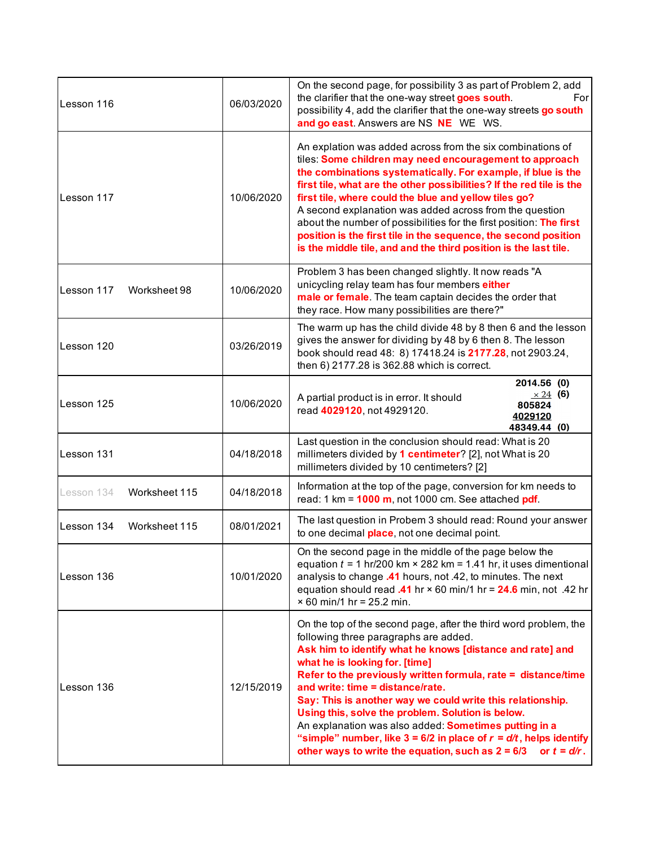| Lesson 116                  | 06/03/2020 | On the second page, for possibility 3 as part of Problem 2, add<br>the clarifier that the one-way street goes south.<br>For<br>possibility 4, add the clarifier that the one-way streets go south<br>and go east. Answers are NS NE WE WS.                                                                                                                                                                                                                                                                                                                                                                                                   |  |  |  |  |  |
|-----------------------------|------------|----------------------------------------------------------------------------------------------------------------------------------------------------------------------------------------------------------------------------------------------------------------------------------------------------------------------------------------------------------------------------------------------------------------------------------------------------------------------------------------------------------------------------------------------------------------------------------------------------------------------------------------------|--|--|--|--|--|
| Lesson 117                  | 10/06/2020 | An explation was added across from the six combinations of<br>tiles: Some children may need encouragement to approach<br>the combinations systematically. For example, if blue is the<br>first tile, what are the other possibilities? If the red tile is the<br>first tile, where could the blue and yellow tiles go?<br>A second explanation was added across from the question<br>about the number of possibilities for the first position: The first<br>position is the first tile in the sequence, the second position<br>is the middle tile, and and the third position is the last tile.                                              |  |  |  |  |  |
| Lesson 117<br>Worksheet 98  | 10/06/2020 | Problem 3 has been changed slightly. It now reads "A<br>unicycling relay team has four members either<br>male or female. The team captain decides the order that<br>they race. How many possibilities are there?"                                                                                                                                                                                                                                                                                                                                                                                                                            |  |  |  |  |  |
| Lesson 120                  | 03/26/2019 | The warm up has the child divide 48 by 8 then 6 and the lesson<br>gives the answer for dividing by 48 by 6 then 8. The lesson<br>book should read 48: 8) 17418.24 is 2177.28, not 2903.24,<br>then 6) 2177.28 is 362.88 which is correct.                                                                                                                                                                                                                                                                                                                                                                                                    |  |  |  |  |  |
| Lesson 125                  | 10/06/2020 | 2014.56 (0)<br>$\times 24$ (6)<br>A partial product is in error. It should<br>805824<br>read 4029120, not 4929120.<br>4029120<br>48349.44 (0)                                                                                                                                                                                                                                                                                                                                                                                                                                                                                                |  |  |  |  |  |
| Lesson 131                  | 04/18/2018 | Last question in the conclusion should read: What is 20<br>millimeters divided by 1 centimeter? [2], not What is 20<br>millimeters divided by 10 centimeters? [2]                                                                                                                                                                                                                                                                                                                                                                                                                                                                            |  |  |  |  |  |
| Worksheet 115<br>Lesson 134 | 04/18/2018 | Information at the top of the page, conversion for km needs to<br>read: 1 km = $1000$ m, not 1000 cm. See attached pdf.                                                                                                                                                                                                                                                                                                                                                                                                                                                                                                                      |  |  |  |  |  |
| Worksheet 115<br>Lesson 134 | 08/01/2021 | The last question in Probem 3 should read: Round your answer<br>to one decimal place, not one decimal point.                                                                                                                                                                                                                                                                                                                                                                                                                                                                                                                                 |  |  |  |  |  |
| 10/01/2020<br>Lesson 136    |            | On the second page in the middle of the page below the<br>equation $t = 1$ hr/200 km $\times$ 282 km = 1.41 hr, it uses dimentional<br>analysis to change .41 hours, not .42, to minutes. The next<br>equation should read .41 hr $\times$ 60 min/1 hr = 24.6 min, not .42 hr<br>$× 60$ min/1 hr = 25.2 min.                                                                                                                                                                                                                                                                                                                                 |  |  |  |  |  |
| Lesson 136                  | 12/15/2019 | On the top of the second page, after the third word problem, the<br>following three paragraphs are added.<br>Ask him to identify what he knows [distance and rate] and<br>what he is looking for. [time]<br>Refer to the previously written formula, rate = distance/time<br>and write: time = distance/rate.<br>Say: This is another way we could write this relationship.<br>Using this, solve the problem. Solution is below.<br>An explanation was also added: Sometimes putting in a<br>"simple" number, like $3 = 6/2$ in place of $r = d/t$ , helps identify<br>other ways to write the equation, such as $2 = 6/3$<br>or $t = d/r$ . |  |  |  |  |  |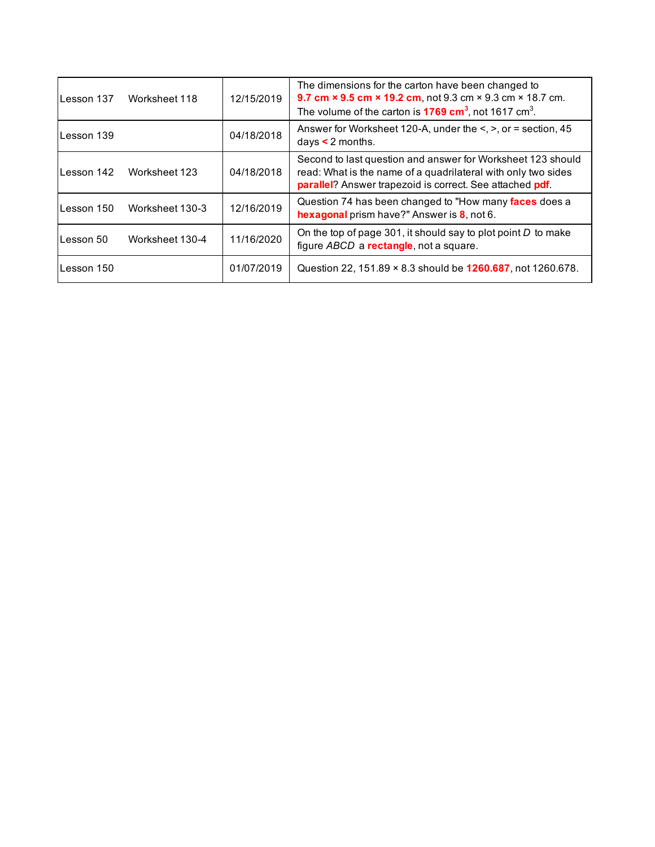| Lesson 137 | Worksheet 118   | 12/15/2019 | The dimensions for the carton have been changed to<br>9.7 cm × 9.5 cm × 19.2 cm, not 9.3 cm × 9.3 cm × 18.7 cm.<br>The volume of the carton is $1769 \text{ cm}^3$ , not 1617 cm <sup>3</sup> . |
|------------|-----------------|------------|-------------------------------------------------------------------------------------------------------------------------------------------------------------------------------------------------|
| Lesson 139 |                 | 04/18/2018 | Answer for Worksheet 120-A, under the $\leq, \geq,$ or = section, 45<br>days $\leq$ 2 months.                                                                                                   |
| Lesson 142 | Worksheet 123   | 04/18/2018 | Second to last question and answer for Worksheet 123 should<br>read: What is the name of a quadrilateral with only two sides<br>parallel? Answer trapezoid is correct. See attached pdf.        |
| Lesson 150 | Worksheet 130-3 | 12/16/2019 | Question 74 has been changed to "How many faces does a<br>hexagonal prism have?" Answer is 8, not 6.                                                                                            |
| Lesson 50  | Worksheet 130-4 | 11/16/2020 | On the top of page 301, it should say to plot point $D$ to make<br>figure ABCD a rectangle, not a square.                                                                                       |
| Lesson 150 |                 | 01/07/2019 | Question 22, 151.89 × 8.3 should be <b>1260.687</b> , not 1260.678.                                                                                                                             |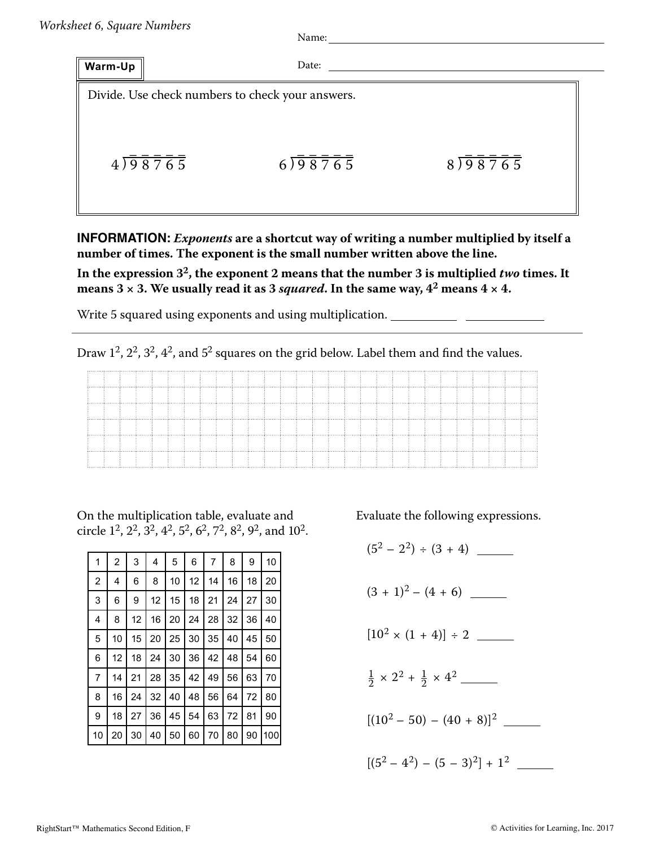Name: Name: Name: Name: Name: Name: Name: Name: Name: Name: Name: Name: Name: Name: Name: Name: Name: Name: Name: Name: Name: Name: Name: Name: Name: Name: Name: Name: Name: Name: Name: Name: Name: Name: Name: Name: Name:

| Warm-Up |         | Date:                                            |         |
|---------|---------|--------------------------------------------------|---------|
|         |         | Divide. Use check numbers to check your answers. |         |
|         | 4)98765 | 6)98765                                          | 8)98765 |

**INFORMATION:** *Exponents* **are a shortcut way of writing a number multiplied by itself a number of times. The exponent is the small number written above the line.**

**In the expression 32, the exponent 2 means that the number 3 is multiplied** *two* **times. It means**  $3 \times 3$ . We usually read it as 3 *squared*. In the same way,  $4^2$  means  $4 \times 4$ .

Write 5 squared using exponents and using multiplication.

Draw  $1^2$ ,  $2^2$ ,  $3^2$ ,  $4^2$ , and  $5^2$  squares on the grid below. Label them and find the values.

|  |  |  |  | the contract of the contract of the contract of the contract of the contract of the contract of the contract of |  | the contract of the contract of the contract of the contract of the contract of the contract of the contract of |  |  |  |  |  |  |  |  |
|--|--|--|--|-----------------------------------------------------------------------------------------------------------------|--|-----------------------------------------------------------------------------------------------------------------|--|--|--|--|--|--|--|--|
|  |  |  |  |                                                                                                                 |  |                                                                                                                 |  |  |  |  |  |  |  |  |
|  |  |  |  |                                                                                                                 |  |                                                                                                                 |  |  |  |  |  |  |  |  |

On the multiplication table, evaluate and circle  $1^2$ ,  $2^2$ ,  $3^2$ ,  $4^2$ ,  $5^2$ ,  $6^2$ ,  $7^2$ ,  $8^2$ ,  $9^2$ , and  $10^2$ .

| 1  | 2  | 3  | 4  | 5  | 6  | 7  | 8  | 9  | 10  |
|----|----|----|----|----|----|----|----|----|-----|
| 2  | 4  | 6  | 8  | 10 | 12 | 14 | 16 | 18 | 20  |
| 3  | 6  | 9  | 12 | 15 | 18 | 21 | 24 | 27 | 30  |
| 4  | 8  | 12 | 16 | 20 | 24 | 28 | 32 | 36 | 40  |
| 5  | 10 | 15 | 20 | 25 | 30 | 35 | 40 | 45 | 50  |
| 6  | 12 | 18 | 24 | 30 | 36 | 42 | 48 | 54 | 60  |
| 7  | 14 | 21 | 28 | 35 | 42 | 49 | 56 | 63 | 70  |
| 8  | 16 | 24 | 32 | 40 | 48 | 56 | 64 | 72 | 80  |
| 9  | 18 | 27 | 36 | 45 | 54 | 63 | 72 | 81 | 90  |
| 10 | 20 | 30 | 40 | 50 | 60 | 70 | 80 | 90 | 100 |

Evaluate the following expressions.

 $(5^2 - 2^2) \div (3 + 4)$  $(3 + 1)^2 - (4 + 6)$ [10<sup>2</sup> × (1 + 4)] ÷ 2  $\frac{1}{2} \times 2^2 + \frac{1}{2} \times 4^2$  $[(10^2 - 50) - (40 + 8)]^2$  $[(5^2 - 4^2) - (5 - 3)^2] + 1^2$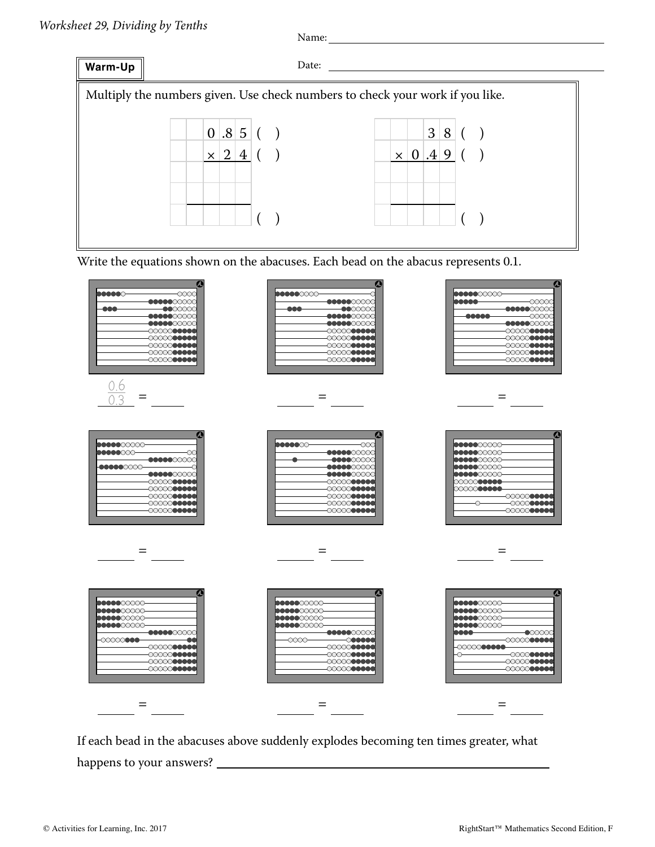

Write the equations shown on the abacuses. Each bead on the abacus represents 0.1.



If each bead in the abacuses above suddenly explodes becoming ten times greater, what happens to your answers?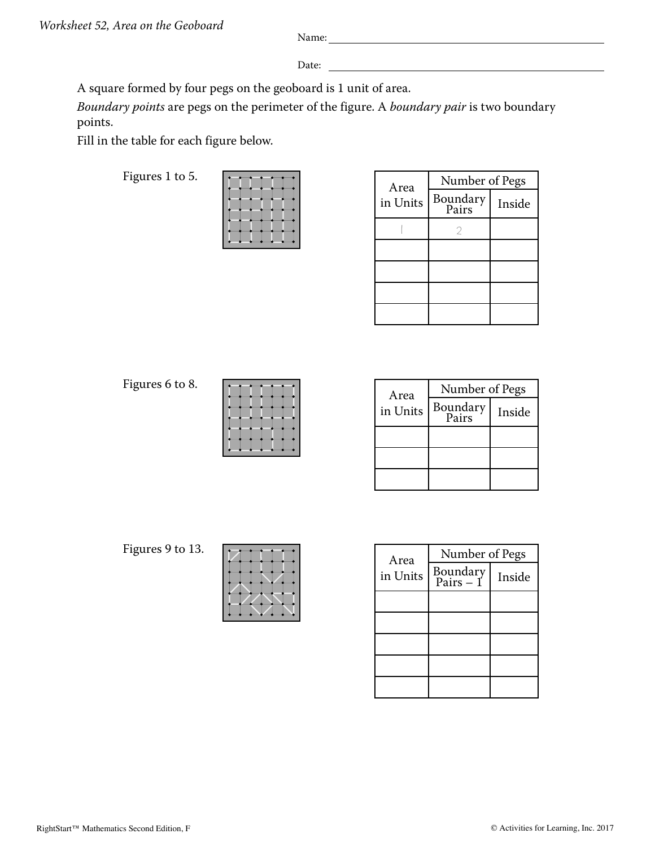Date:

A square formed by four pegs on the geoboard is 1 unit of area.

*Boundary points* are pegs on the perimeter of the figure. A *boundary pair* is two boundary points.

Fill in the table for each figure below.

Figures 1 to 5.

| _ |  |
|---|--|
|   |  |
|   |  |
|   |  |

| Area     | Number of Pegs    |        |  |  |  |  |
|----------|-------------------|--------|--|--|--|--|
| in Units | Boundary<br>Pairs | Inside |  |  |  |  |
|          |                   |        |  |  |  |  |
|          |                   |        |  |  |  |  |
|          |                   |        |  |  |  |  |
|          |                   |        |  |  |  |  |
|          |                   |        |  |  |  |  |

Figures 6 to 8.

| _ |   | - |  |
|---|---|---|--|
|   | - | - |  |
|   |   |   |  |
|   |   |   |  |
|   |   |   |  |
|   |   |   |  |
|   |   |   |  |

| Area     | Number of Pegs    |        |  |  |  |  |
|----------|-------------------|--------|--|--|--|--|
| in Units | Boundary<br>Pairs | Inside |  |  |  |  |
|          |                   |        |  |  |  |  |
|          |                   |        |  |  |  |  |
|          |                   |        |  |  |  |  |

Figures 9 to 13.

| A rea<br>in Units | Number of Pegs        |        |  |  |  |
|-------------------|-----------------------|--------|--|--|--|
|                   | Boundary<br>Pairs – 1 | Inside |  |  |  |
|                   |                       |        |  |  |  |
|                   |                       |        |  |  |  |
|                   |                       |        |  |  |  |
|                   |                       |        |  |  |  |
|                   |                       |        |  |  |  |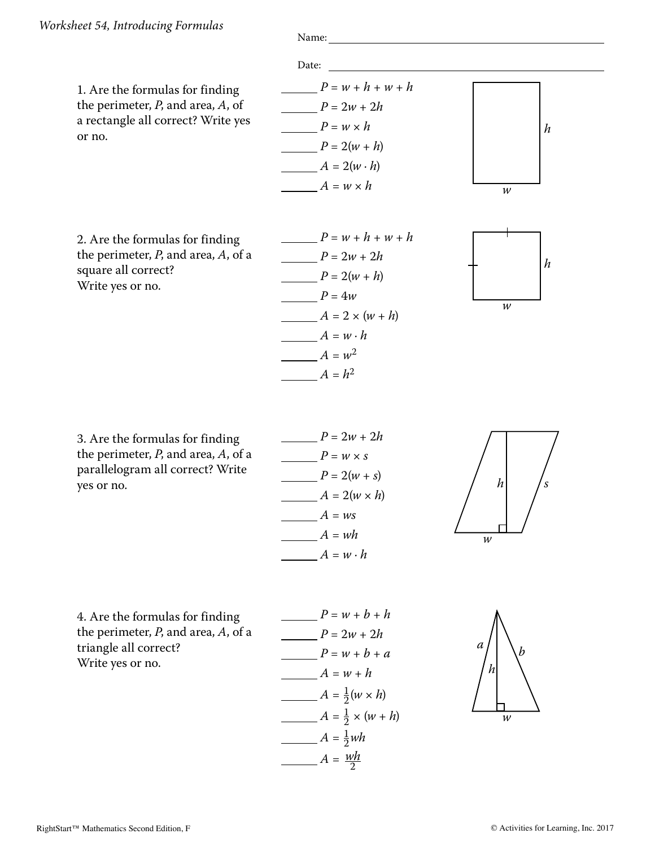or no.



3. Are the formulas for finding the perimeter, *P*, and area, *A*, of a parallelogram all correct? Write yes or no.



 $A = h^2$ 



4. Are the formulas for finding the perimeter, *P*, and area, *A*, of a triangle all correct? Write yes or no.



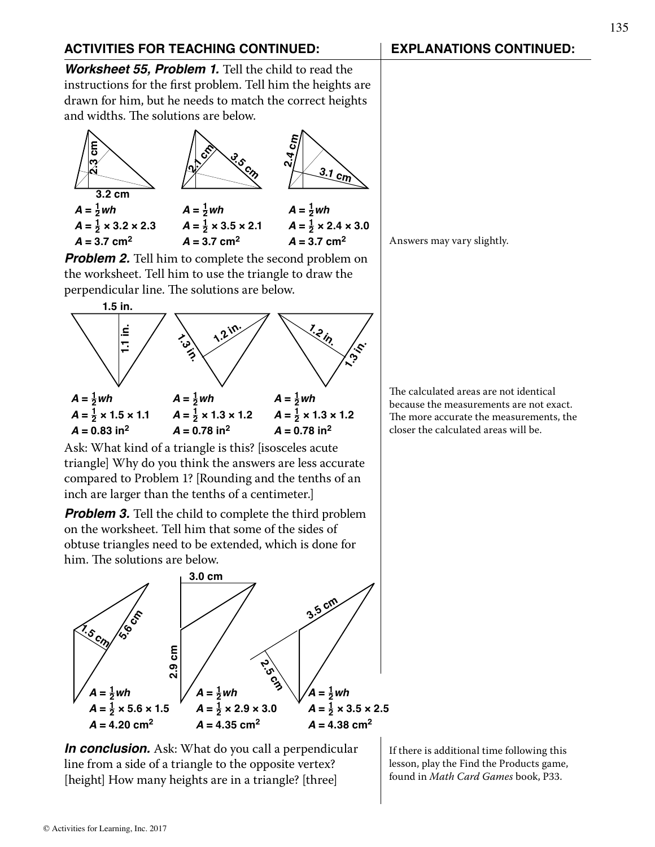*Worksheet 55, Problem 1.* Tell the child to read the instructions for the first problem. Tell him the heights are drawn for him, but he needs to match the correct heights and widths. The solutions are below.



**Problem 2.** Tell him to complete the second problem on the worksheet. Tell him to use the triangle to draw the perpendicular line. The solutions are below.



Ask: What kind of a triangle is this? [isosceles acute triangle] Why do you think the answers are less accurate compared to Problem 1? [Rounding and the tenths of an inch are larger than the tenths of a centimeter.]

*Problem 3.* Tell the child to complete the third problem on the worksheet. Tell him that some of the sides of obtuse triangles need to be extended, which is done for him. The solutions are below.



Answers may vary slightly.

The calculated areas are not identical because the measurements are not exact. The more accurate the measurements, the closer the calculated areas will be.

*In conclusion.* Ask: What do you call a perpendicular line from a side of a triangle to the opposite vertex? [height] How many heights are in a triangle? [three]

If there is additional time following this lesson, play the Find the Products game, found in *Math Card Games* book, P33.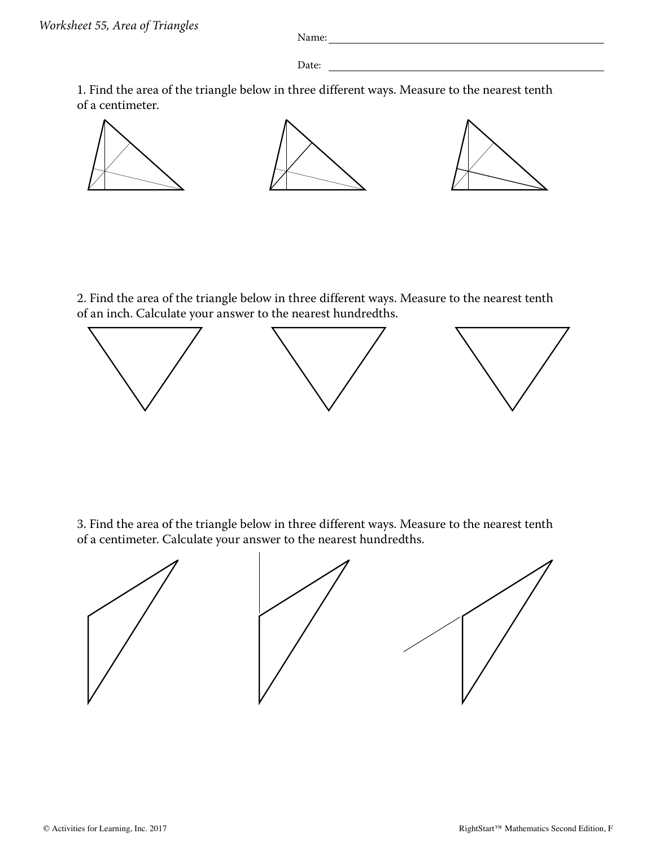Date: **Date: Date: Date: Date: Date: Date: Date: Date: Date: Date: Date: Date: Date: Date: Date: Date: Date: Date: Date: Date: Date: Date: D** 

1. Find the area of the triangle below in three different ways. Measure to the nearest tenth of a centimeter.



2. Find the area of the triangle below in three different ways. Measure to the nearest tenth of an inch. Calculate your answer to the nearest hundredths.



3. Find the area of the triangle below in three different ways. Measure to the nearest tenth of a centimeter. Calculate your answer to the nearest hundredths.

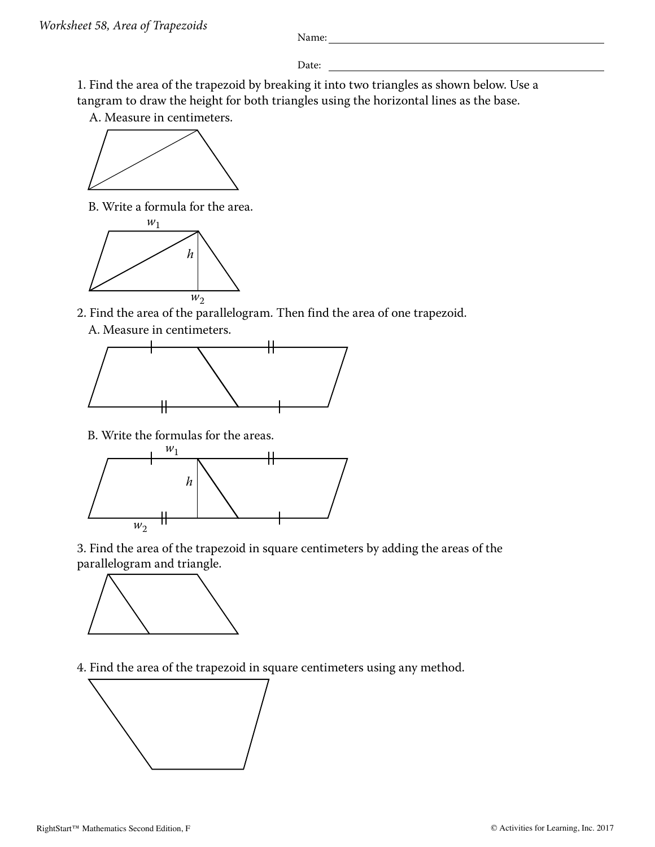Date:

1. Find the area of the trapezoid by breaking it into two triangles as shown below. Use a tangram to draw the height for both triangles using the horizontal lines as the base.

A. Measure in centimeters.



B. Write a formula for the area.



2. Find the area of the parallelogram. Then find the area of one trapezoid.





B. Write the formulas for the areas.



3. Find the area of the trapezoid in square centimeters by adding the areas of the parallelogram and triangle.



4. Find the area of the trapezoid in square centimeters using any method.

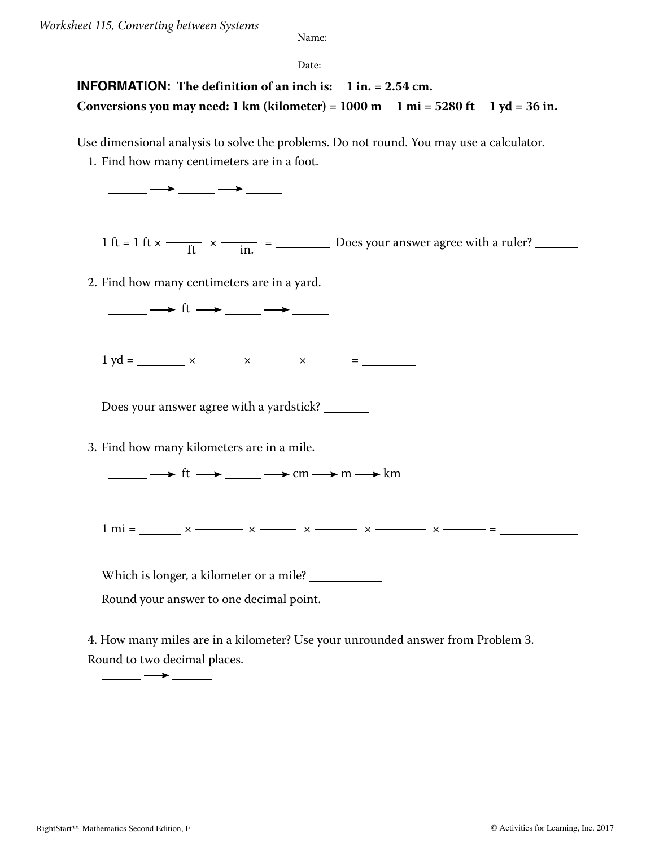Date:

## **INFORMATION:** The definition of an inch is: 1 in. = 2.54 cm. Conversions you may need:  $1 \text{ km}$  (kilometer) =  $1000 \text{ m}$   $1 \text{ mi} = 5280 \text{ ft}$   $1 \text{ yd} = 36 \text{ in}$ .

Use dimensional analysis to solve the problems. Do not round. You may use a calculator.

1. Find how many centimeters are in a foot.



1 ft = 1 ft  $\times$   $\frac{ }{ }$   $\frac{ }{ }$   $\frac{ }{ }$   $\frac{ }{ }$   $\frac{ }{ }$   $\frac{ }{ }$   $\frac{ }{ }$   $\frac{ }{ }$   $\frac{ }{ }$   $\frac{ }{ }$   $\frac{ }{ }$   $\frac{ }{ }$   $\frac{ }{ }$   $\frac{ }{ }$   $\frac{ }{ }$   $\frac{ }{ }$   $\frac{ }{ }$   $\frac{ }{ }$   $\frac{ }{ }$   $\frac{ }{ }$   $\frac{ }{ }$   $\frac{ }{ }$   $\frac{ }{$ 

2. Find how many centimeters are in a yard.

 $\_\_$   $\_\_$   $\_\_$  ft  $\_\_$   $\_\_$   $\_\_$ 

 $1 \text{ yd} =$   $x \rightarrow x \rightarrow x \rightarrow x$  =

Does your answer agree with a yardstick?

3. Find how many kilometers are in a mile.

 $\rightarrow$  ft  $\rightarrow$  cm  $\rightarrow$  m  $\rightarrow$  km

1 mi = × <sup>×</sup> <sup>×</sup> <sup>×</sup> <sup>×</sup> <sup>=</sup>

Which is longer, a kilometer or a mile? \_\_\_\_\_\_\_\_\_\_\_\_\_\_

Round your answer to one decimal point.

4. How many miles are in a kilometer? Use your unrounded answer from Problem 3. Round to two decimal places.

 $\hspace{1.5cm} \longrightarrow \hspace{1.5cm}$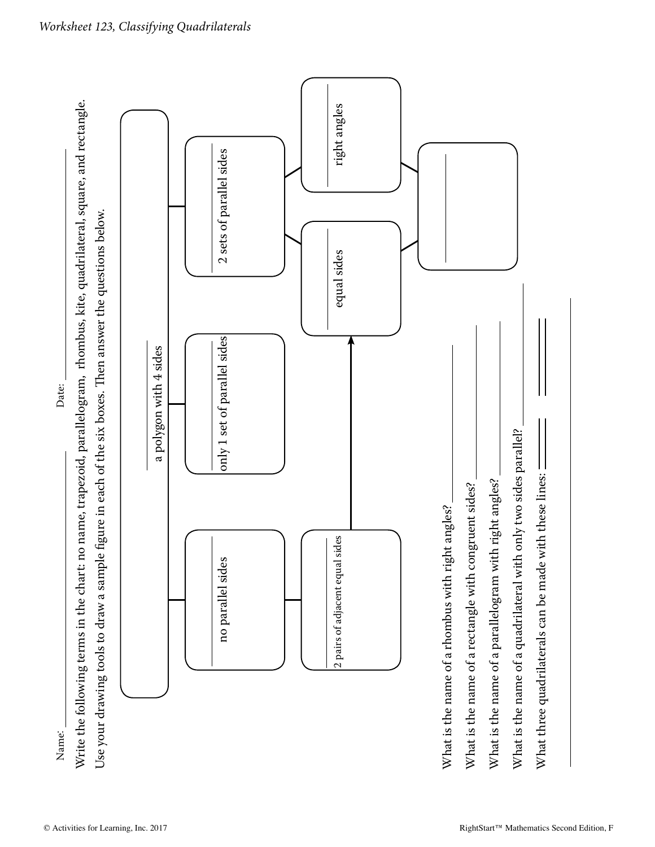Name: Date: